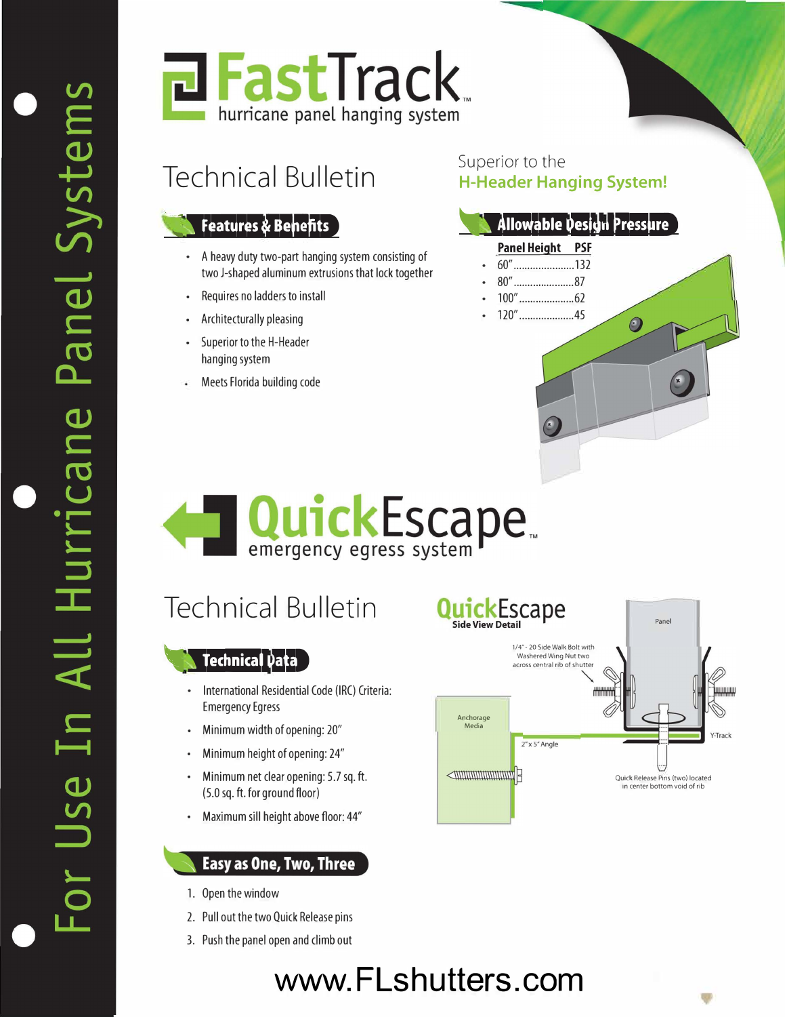

## Technical Bulletin

### **features & Benefits**

- A heavy duty two-part hanging system consisting of two J-shaped aluminum extrusions that lock together
- Requires no ladders to install
- Architecturally pleasing
- Superior to the H-Header hanging system
- Meets Florida building code

#### Superior to the **H-Header Hanging System!**

### **Allowable Design Pressure**

 $\odot$ 

#### **Panel Height PSF**

- 60" ...................... 132
- 80" ...................... 87
- 100" .................... 62
- 120" ................... .45

**QuickEscape** 

## Technical Bulletin

## **1b 1***t<b>1</sup> ch<i>t***<sub><b>d**</sub>

- International Residential Code (IRC) Criteria: Emergency Egress
- Minimum width of opening: 20"
- Minimum height of opening: 24"
- Minimum net clear opening: 5.7 sq. **ft.** (5.0 sq. **ft.** for ground floor)
- Maximum sill height above floor: 44"

#### **Easy as One, Two, Three**

- 1. Open the window
- 2. Pull out the two Quick Release pins
- 3. Push the panel open and climb out



5J)

### **[www.Flshutters.com](www.flshutters.com)**